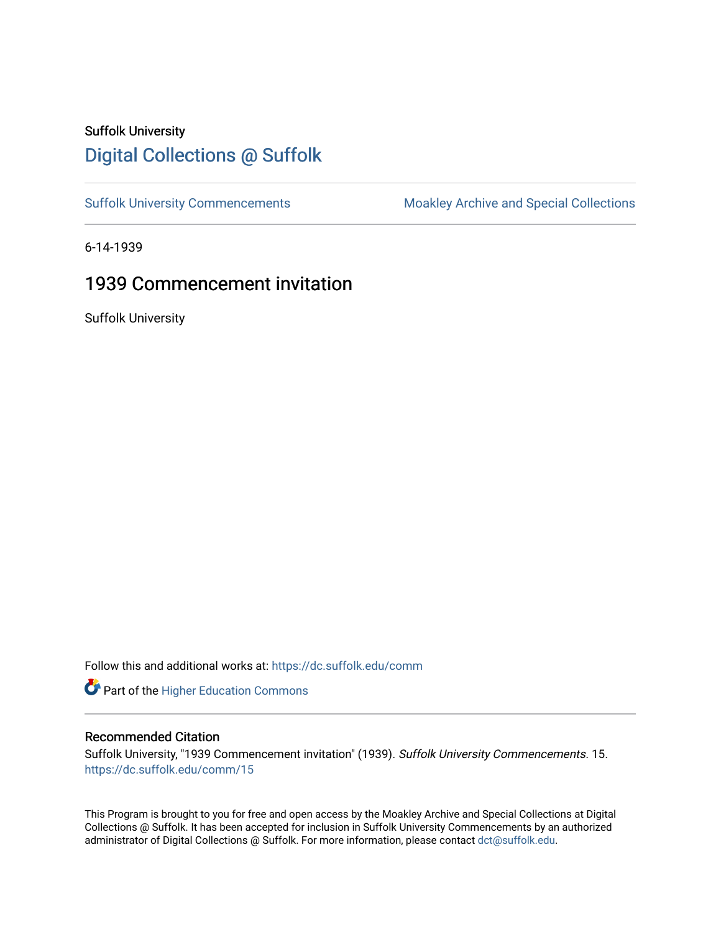# Suffolk University [Digital Collections @ Suffolk](https://dc.suffolk.edu/)

[Suffolk University Commencements](https://dc.suffolk.edu/comm) Moakley Archive and Special Collections

6-14-1939

## 1939 Commencement invitation

Suffolk University

Follow this and additional works at: [https://dc.suffolk.edu/comm](https://dc.suffolk.edu/comm?utm_source=dc.suffolk.edu%2Fcomm%2F15&utm_medium=PDF&utm_campaign=PDFCoverPages)

**Part of the Higher Education Commons** 

#### Recommended Citation

Suffolk University, "1939 Commencement invitation" (1939). Suffolk University Commencements. 15. [https://dc.suffolk.edu/comm/15](https://dc.suffolk.edu/comm/15?utm_source=dc.suffolk.edu%2Fcomm%2F15&utm_medium=PDF&utm_campaign=PDFCoverPages) 

This Program is brought to you for free and open access by the Moakley Archive and Special Collections at Digital Collections @ Suffolk. It has been accepted for inclusion in Suffolk University Commencements by an authorized administrator of Digital Collections @ Suffolk. For more information, please contact [dct@suffolk.edu.](mailto:dct@suffolk.edu)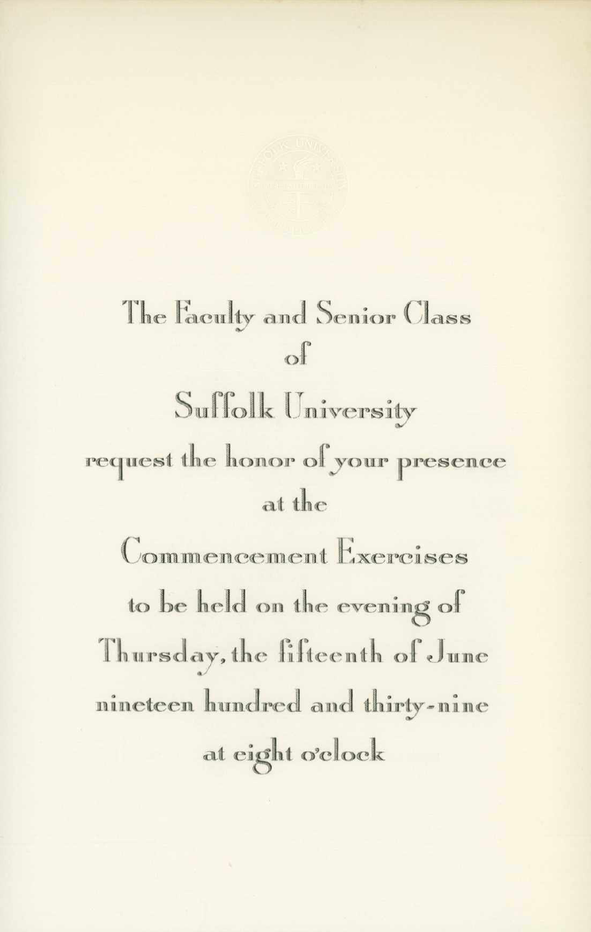### The Faculty and Senior Class  $\Omega$

Suffolk University request the honor of your presence at the

Commencement Exercises to be held on the evening of Thursday, the fifteenth of June nineteen hundred and thirty-nine at eight o'clock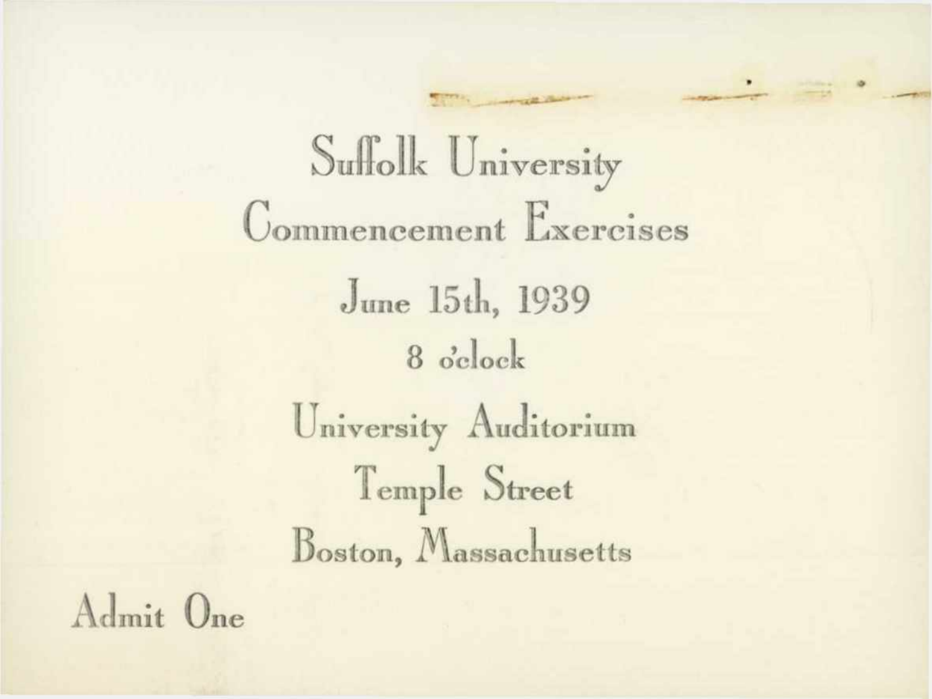Suffolk University Commencement Exercises June 15th, 1939 8 o'clock University Auditorium Temple Street Boston, Massachusetts

Admit One